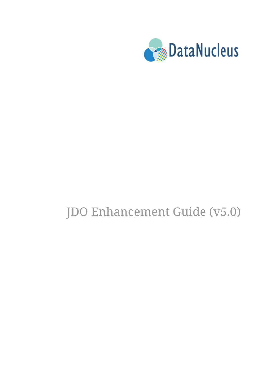

# JDO Enhancement Guide (v5.0)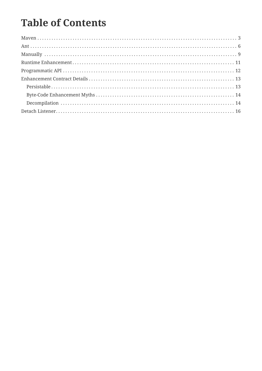# **Table of Contents**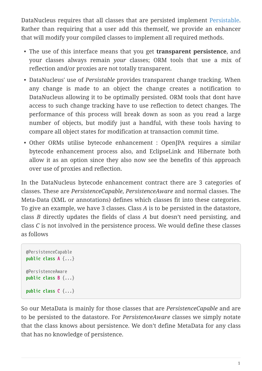DataNucleus requires that all classes that are persisted implement [Persistable.](http://www.datanucleus.org/javadocs/core/5.0/org/datanucleus/enhancement/Persistable.html) Rather than requiring that a user add this themself, we provide an enhancer that will modify your compiled classes to implement all required methods.

- The use of this interface means that you get **transparent persistence**, and your classes always remain *your* classes; ORM tools that use a mix of reflection and/or proxies are not totally transparent.
- DataNucleus' use of *Persistable* provides transparent change tracking. When any change is made to an object the change creates a notification to DataNucleus allowing it to be optimally persisted. ORM tools that dont have access to such change tracking have to use reflection to detect changes. The performance of this process will break down as soon as you read a large number of objects, but modify just a handful, with these tools having to compare all object states for modification at transaction commit time.
- Other ORMs utilise bytecode enhancement : OpenJPA requires a similar bytecode enhancement process also, and EclipseLink and Hibernate both allow it as an option since they also now see the benefits of this approach over use of proxies and reflection.

In the DataNucleus bytecode enhancement contract there are 3 categories of classes. These are *PersistenceCapable*, *PersistenceAware* and normal classes. The Meta-Data (XML or annotations) defines which classes fit into these categories. To give an example, we have 3 classes. Class *A* is to be persisted in the datastore, class *B* directly updates the fields of class *A* but doesn't need persisting, and class *C* is not involved in the persistence process. We would define these classes as follows

```
@PersistenceCapable
public class A {...}
@PersistenceAware
public class B {...}
public class C {...}
```
So our MetaData is mainly for those classes that are *PersistenceCapable* and are to be persisted to the datastore. For *PersistenceAware* classes we simply notate that the class knows about persistence. We don't define MetaData for any class that has no knowledge of persistence.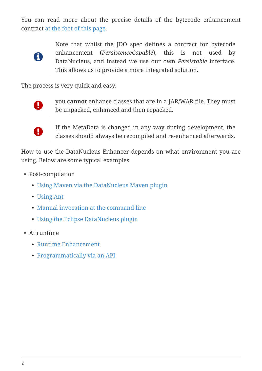You can read more about the precise details of the bytecode enhancement contract [at the foot of this page.](#Enhancement_Contract_Details)



Note that whilst the JDO spec defines a contract for bytecode enhancement (*PersistenceCapable*), this is not used by DataNucleus, and instead we use our own *Persistable* interface. This allows us to provide a more integrated solution.

The process is very quick and easy.



you **cannot** enhance classes that are in a JAR/WAR file. They must be unpacked, enhanced and then repacked.



If the MetaData is changed in any way during development, the classes should always be recompiled and re-enhanced afterwards.

How to use the DataNucleus Enhancer depends on what environment you are using. Below are some typical examples.

- Post-compilation
	- [Using Maven via the DataNucleus Maven plugin](#maven)
	- [Using Ant](#ant)
	- [Manual invocation at the command line](#manual)
	- [Using the Eclipse DataNucleus plugin](tools.html#eclipse)
- At runtime
	- [Runtime Enhancement](#runtime)
	- [Programmatically via an API](#api)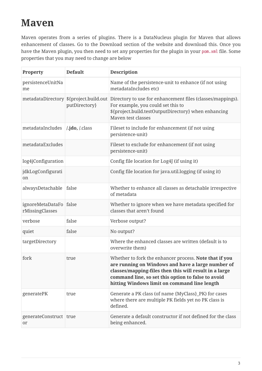# <span id="page-4-0"></span>**Maven**

Maven operates from a series of plugins. There is a DataNucleus plugin for Maven that allows enhancement of classes. Go to the Download section of the website and download this. Once you have the Maven plugin, you then need to set any properties for the plugin in your pom.xml file. Some properties that you may need to change are below

| Property                            | <b>Default</b>                                          | <b>Description</b>                                                                                                                                                                                                                                                          |
|-------------------------------------|---------------------------------------------------------|-----------------------------------------------------------------------------------------------------------------------------------------------------------------------------------------------------------------------------------------------------------------------------|
| persistenceUnitNa<br>me             |                                                         | Name of the persistence-unit to enhance (if not using<br>metadataIncludes etc)                                                                                                                                                                                              |
|                                     | metadataDirectory \${project.build.out<br>putDirectory} | Directory to use for enhancement files (classes/mappings).<br>For example, you could set this to<br>\${project.build.testOutputDirectory} when enhancing<br>Maven test classes                                                                                              |
| metadataIncludes                    | $\lambda$ <b>jdo</b> , $\lambda$ class                  | Fileset to include for enhancement (if not using<br>persistence-unit)                                                                                                                                                                                                       |
| metadataExcludes                    |                                                         | Fileset to exclude for enhancement (if not using<br>persistence-unit)                                                                                                                                                                                                       |
| log4jConfiguration                  |                                                         | Config file location for Log4J (if using it)                                                                                                                                                                                                                                |
| jdkLogConfigurati<br>on             |                                                         | Config file location for java.util.logging (if using it)                                                                                                                                                                                                                    |
| alwaysDetachable                    | false                                                   | Whether to enhance all classes as detachable irrespective<br>of metadata                                                                                                                                                                                                    |
| ignoreMetaDataFo<br>rMissingClasses | false                                                   | Whether to ignore when we have metadata specified for<br>classes that aren't found                                                                                                                                                                                          |
| verbose                             | false                                                   | Verbose output?                                                                                                                                                                                                                                                             |
| quiet                               | false                                                   | No output?                                                                                                                                                                                                                                                                  |
| targetDirectory                     |                                                         | Where the enhanced classes are written (default is to<br>overwrite them)                                                                                                                                                                                                    |
| fork                                | true                                                    | Whether to fork the enhancer process. Note that if you<br>are running on Windows and have a large number of<br>classes/mapping-files then this will result in a large<br>command line, so set this option to false to avoid<br>hitting Windows limit on command line length |
| generatePK                          | true                                                    | Generate a PK class (of name {MyClass}_PK) for cases<br>where there are multiple PK fields yet no PK class is<br>defined.                                                                                                                                                   |
| generateConstruct<br>or             | true                                                    | Generate a default constructor if not defined for the class<br>being enhanced.                                                                                                                                                                                              |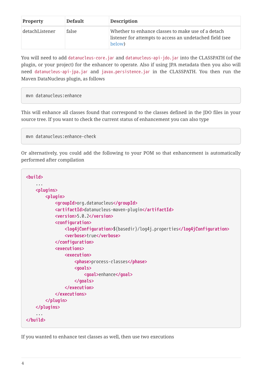| <b>Property</b> | <b>Default</b> | <b>Description</b>                                                                                                       |
|-----------------|----------------|--------------------------------------------------------------------------------------------------------------------------|
| detachListener  | false          | Whether to enhance classes to make use of a detach<br>listener for attempts to access an undetached field (see<br>below) |

You will need to add datanucleus-core.jar and datanucleus-api-jdo.jar into the CLASSPATH (of the plugin, or your project) for the enhancer to operate. Also if using JPA metadata then you also will need datanucleus-api-jpa.jar and javax.persistence.jar in the CLASSPATH. You then run the Maven DataNucleus plugin, as follows

```
mvn datanucleus:enhance
```
This will enhance all classes found that correspond to the classes defined in the JDO files in your source tree. If you want to check the current status of enhancement you can also type

mvn datanucleus:enhance-check

Or alternatively, you could add the following to your POM so that enhancement is automatically performed after compilation

```
<build>
      ...
      <plugins>
           <plugin>
               <groupId>org.datanucleus</groupId>
               <artifactId>datanucleus-maven-plugin</artifactId>
               <version>5.0.2</version>
               <configuration>
                    <log4jConfiguration>${basedir}/log4j.properties</log4jConfiguration>
                    <verbose>true</verbose>
               </configuration>
               <executions>
                    <execution>
                        <phase>process-classes</phase>
                        <goals>
                             <goal>enhance</goal>
                        </goals>
                    </execution>
               </executions>
           </plugin>
      </plugins>
      ...
</build>
```
If you wanted to enhance test classes as well, then use two executions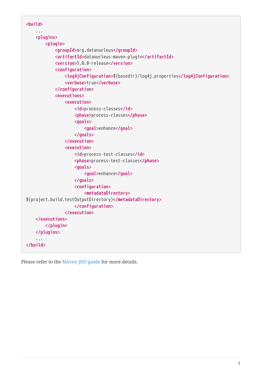| $\sim$ 100 $\pm$<br><plugins><br/><plugin><br/><groupid>org.datanucleus</groupid></plugin></plugins> |
|------------------------------------------------------------------------------------------------------|
|                                                                                                      |
|                                                                                                      |
|                                                                                                      |
|                                                                                                      |
| <artifactid>datanucleus-maven-plugin</artifactid>                                                    |
| <version>5.0.0-release</version>                                                                     |
| <configuration></configuration>                                                                      |
| <log4jconfiguration>\${basedir}/log4j.properties</log4jconfiguration><br><verbose>true</verbose>     |
|                                                                                                      |
| <executions></executions>                                                                            |
| <execution></execution>                                                                              |
| <id>process-classes</id>                                                                             |
| <phase>process-classes</phase>                                                                       |
| <goals></goals>                                                                                      |
| <goal>enhance</goal>                                                                                 |
|                                                                                                      |
|                                                                                                      |
| <execution></execution>                                                                              |
| <id>process-test-classes</id>                                                                        |
| <phase>process-test-classes</phase>                                                                  |
| <goals></goals>                                                                                      |
| <goal>enhance</goal>                                                                                 |
|                                                                                                      |
| <configuration></configuration>                                                                      |
| <metadatadirectory></metadatadirectory>                                                              |
| \${project.build.testOutputDirectory}                                                                |
|                                                                                                      |
|                                                                                                      |
|                                                                                                      |
|                                                                                                      |
|                                                                                                      |
| $\sim 100$                                                                                           |
|                                                                                                      |

Please refer to the [Maven JDO guide](tools.html#maven) for more details.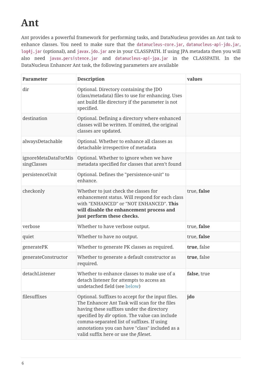# <span id="page-7-0"></span>**Ant**

Ant provides a powerful framework for performing tasks, and DataNucleus provides an Ant task to enhance classes. You need to make sure that the datanucleus-core.jar, datanucleus-api-jdo.jar, log4j.jar (optional), and javax.jdo.jar are in your CLASSPATH. If using JPA metadata then you will also need javax.persistence.jar and datanucleus-api-jpa.jar in the CLASSPATH. In the DataNucleus Enhancer Ant task, the following parameters are available

| Parameter                           | <b>Description</b>                                                                                                                                                                                                                                                                                                                         | values      |
|-------------------------------------|--------------------------------------------------------------------------------------------------------------------------------------------------------------------------------------------------------------------------------------------------------------------------------------------------------------------------------------------|-------------|
| dir                                 | Optional. Directory containing the JDO<br>(class/metadata) files to use for enhancing. Uses<br>ant build file directory if the parameter is not<br>specified.                                                                                                                                                                              |             |
| destination                         | Optional. Defining a directory where enhanced<br>classes will be written. If omitted, the original<br>classes are updated.                                                                                                                                                                                                                 |             |
| alwaysDetachable                    | Optional. Whether to enhance all classes as<br>detachable irrespective of metadata                                                                                                                                                                                                                                                         |             |
| ignoreMetaDataForMis<br>singClasses | Optional. Whether to ignore when we have<br>metadata specified for classes that aren't found                                                                                                                                                                                                                                               |             |
| persistenceUnit                     | Optional. Defines the "persistence-unit" to<br>enhance.                                                                                                                                                                                                                                                                                    |             |
| checkonly                           | Whether to just check the classes for<br>enhancement status. Will respond for each class<br>with "ENHANCED" or "NOT ENHANCED". This<br>will disable the enhancement process and<br>just perform these checks.                                                                                                                              | true, false |
| verbose                             | Whether to have verbose output.                                                                                                                                                                                                                                                                                                            | true, false |
| quiet                               | Whether to have no output.                                                                                                                                                                                                                                                                                                                 | true, false |
| generatePK                          | Whether to generate PK classes as required.                                                                                                                                                                                                                                                                                                | true, false |
| generateConstructor                 | Whether to generate a default constructor as<br>required.                                                                                                                                                                                                                                                                                  | true, false |
| detachListener                      | Whether to enhance classes to make use of a<br>detach listener for attempts to access an<br>undetached field (see below)                                                                                                                                                                                                                   | false, true |
| filesuffixes                        | Optional. Suffixes to accept for the input files.<br>The Enhancer Ant Task will scan for the files<br>having these suffixes under the directory<br>specified by dir option. The value can include<br>comma-separated list of suffixes. If using<br>annotations you can have "class" included as a<br>valid suffix here or use the fileset. | jdo         |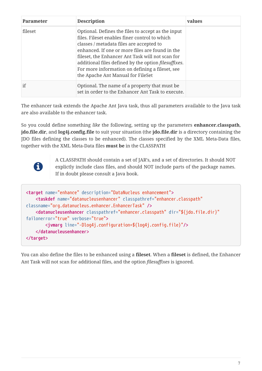| <b>Parameter</b> | <b>Description</b>                                                                                                                                                                                                                                                                                                                                                                                             | values |
|------------------|----------------------------------------------------------------------------------------------------------------------------------------------------------------------------------------------------------------------------------------------------------------------------------------------------------------------------------------------------------------------------------------------------------------|--------|
| fileset          | Optional. Defines the files to accept as the input<br>files. Fileset enables finer control to which<br>classes / metadata files are accepted to<br>enhanced. If one or more files are found in the<br>fileset, the Enhancer Ant Task will not scan for<br>additional files defined by the option <i>filesuffixes</i> .<br>For more information on defining a fileset, see<br>the Apache Ant Manual for FileSet |        |
| if               | Optional. The name of a property that must be.<br>set in order to the Enhancer Ant Task to execute.                                                                                                                                                                                                                                                                                                            |        |

The enhancer task extends the Apache Ant Java task, thus all parameters available to the Java task are also available to the enhancer task.

So you could define something *like* the following, setting up the parameters **enhancer.classpath**, **jdo.file.dir**, and **log4j.config.file** to suit your situation (the **jdo.file.dir** is a directory containing the JDO files defining the classes to be enhanced). The classes specified by the XML Meta-Data files, together with the XML Meta-Data files **must be** in the CLASSPATH



A CLASSPATH should contain a set of JAR's, and a set of directories. It should NOT explictly include class files, and should NOT include parts of the package names. If in doubt please consult a Java book.

```
<target name="enhance" description="DataNucleus enhancement">
      <taskdef name="datanucleusenhancer" classpathref="enhancer.classpath"
classname="org.datanucleus.enhancer.EnhancerTask" />
      <datanucleusenhancer classpathref="enhancer.classpath" dir="${jdo.file.dir}"
failonerror="true" verbose="true">
          <jvmarg line="-Dlog4j.configuration=${log4j.config.file}"/>
      </datanucleusenhancer>
</target>
```
You can also define the files to be enhanced using a **fileset**. When a **fileset** is defined, the Enhancer Ant Task will not scan for additional files, and the option *filesuffixes* is ignored.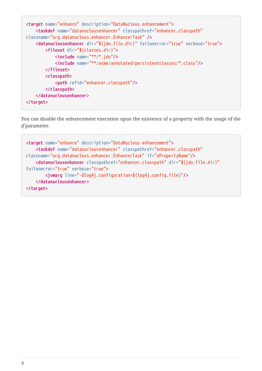```
<target name="enhance" description="DataNucleus enhancement">
      <taskdef name="datanucleusenhancer" classpathref="enhancer.classpath"
classname="org.datanucleus.enhancer.EnhancerTask" />
      <datanucleusenhancer dir="${jdo.file.dir}" failonerror="true" verbose="true">
          <fileset dir="${classes.dir}">
              <include name="**/*.jdo"/>
              <include name="**/acme/annotated/persistentclasses/*.class"/>
          </fileset>
          <classpath>
              <path refid="enhancer.classpath"/>
          </classpath>
      </datanucleusenhancer>
</target>
```
You can disable the enhancement execution upon the existence of a property with the usage of the *if* parameter.

```
<target name="enhance" description="DataNucleus enhancement">
      <taskdef name="datanucleusenhancer" classpathref="enhancer.classpath"
classname="org.datanucleus.enhancer.EnhancerTask" if="aPropertyName"/>
      <datanucleusenhancer classpathref="enhancer.classpath" dir="${jdo.file.dir}"
failonerror="true" verbose="true">
          <jvmarg line="-Dlog4j.configuration=${log4j.config.file}"/>
      </datanucleusenhancer>
</target>
```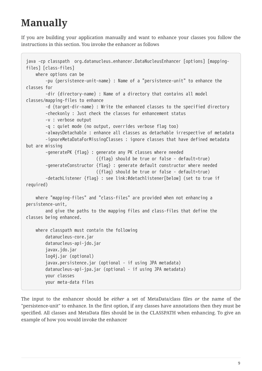# <span id="page-10-0"></span>**Manually**

If you are building your application manually and want to enhance your classes you follow the instructions in this section. You invoke the enhancer as follows

```
java -cp classpath org.datanucleus.enhancer.DataNucleusEnhancer [options] [mapping-
files] [class-files]
      where options can be
          -pu {persistence-unit-name} : Name of a "persistence-unit" to enhance the
classes for
          -dir {directory-name} : Name of a directory that contains all model
classes/mapping-files to enhance
          -d {target-dir-name} : Write the enhanced classes to the specified directory
          -checkonly : Just check the classes for enhancement status
          -v : verbose output
          -q : quiet mode (no output, overrides verbose flag too)
          -alwaysDetachable : enhance all classes as detachable irrespective of metadata
          -ignoreMetaDataForMissingClasses : ignore classes that have defined metadata
but are missing
          -generatePK {flag} : generate any PK classes where needed
                                ({flag} should be true or false - default=true)
          -generateConstructor {flag} : generate default constructor where needed
                                ({flag} should be true or false - default=true)
          -detachListener {flag} : see link:#detachlistener[below] (set to true if
required)
     where "mapping-files" and "class-files" are provided when not enhancing a
persistence-unit,
          and give the paths to the mapping files and class-files that define the
classes being enhanced.
      where classpath must contain the following
          datanucleus-core.jar
          datanucleus-api-jdo.jar
          javax.jdo.jar
          log4j.jar (optional)
          javax.persistence.jar (optional - if using JPA metadata)
          datanucleus-api-jpa.jar (optional - if using JPA metadata)
          your classes
          your meta-data files
```
The input to the enhancer should be *either* a set of MetaData/class files *or* the name of the "persistence-unit" to enhance. In the first option, if any classes have annotations then they must be specified. All classes and MetaData files should be in the CLASSPATH when enhancing. To give an example of how you would invoke the enhancer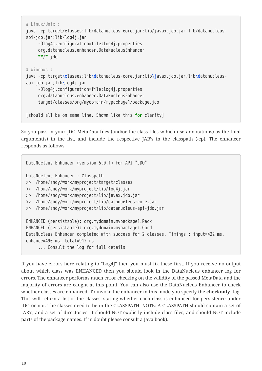```
# Linux/Unix :
java -cp target/classes:lib/datanucleus-core.jar:lib/javax.jdo.jar:lib/datanucleus-
api-jdo.jar:lib/log4j.jar
       -Dlog4j.configuration=file:log4j.properties
       org.datanucleus.enhancer.DataNucleusEnhancer
       **/*.jdo
# Windows :
java -cp target\classes;lib\datanucleus-core.jar;lib\javax.jdo.jar;lib\datanucleus-
api-jdo.jar;lib\log4j.jar
       -Dlog4j.configuration=file:log4j.properties
       org.datanucleus.enhancer.DataNucleusEnhancer
       target/classes/org/mydomain/mypackage1/package.jdo
[should all be on same line. Shown like this for clarity]
```
So you pass in your JDO MetaData files (and/or the class files wihich use annotations) as the final argument(s) in the list, and include the respective JAR's in the classpath (-cp). The enhancer responds as follows

```
DataNucleus Enhancer (version 5.0.1) for API "JDO"
DataNucleus Enhancer : Classpath
>> /home/andy/work/myproject/target/classes
>> /home/andy/work/myproject/lib/log4j.jar
>> /home/andy/work/myproject/lib/javax.jdo.jar
>> /home/andy/work/myproject/lib/datanucleus-core.jar
>> /home/andy/work/myproject/lib/datanucleus-api-jdo.jar
ENHANCED (persistable): org.mydomain.mypackage1.Pack
ENHANCED (persistable): org.mydomain.mypackage1.Card
DataNucleus Enhancer completed with success for 2 classes. Timings : input=422 ms,
enhance=490 ms, total=912 ms.
       ... Consult the log for full details
```
If you have errors here relating to "Log4J" then you must fix these first. If you receive no output about which class was ENHANCED then you should look in the DataNucleus enhancer log for errors. The enhancer performs much error checking on the validity of the passed MetaData and the majority of errors are caught at this point. You can also use the DataNucleus Enhancer to check whether classes are enhanced. To invoke the enhancer in this mode you specify the **checkonly** flag. This will return a list of the classes, stating whether each class is enhanced for persistence under JDO or not. The classes need to be in the CLASSPATH. NOTE: A CLASSPATH should contain a set of JAR's, and a set of directories. It should NOT explictly include class files, and should NOT include parts of the package names. If in doubt please consult a Java book).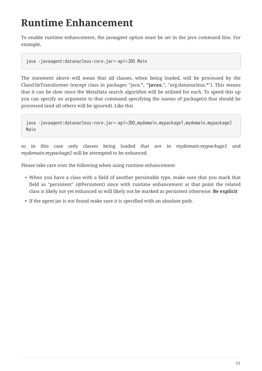# <span id="page-12-0"></span>**Runtime Enhancement**

To enable runtime enhancement, the *javaagent* option must be set in the java command line. For example,

java -javaagent:datanucleus-core.jar=-api=JDO Main

The statement above will mean that all classes, when being loaded, will be processed by the ClassFileTransformer (except class in packages "java.**", "javax.**", "org.datanucleus.\*"). This means that it can be slow since the MetaData search algorithm will be utilised for each. To speed this up you can specify an argument to that command specifying the names of package(s) that should be processed (and all others will be ignored). Like this

java -javaagent:datanucleus-core.jar=-api=JDO,mydomain.mypackage1,mydomain.mypackage2 Main

so in this case only classes being loaded that are in *mydomain.mypackage1* and *mydomain.mypackage2* will be attempted to be enhanced.

Please take care over the following when using runtime enhancement

- When you have a class with a field of another persistable type, make sure that you mark that field as "persistent" (@Persistent) since with runtime enhancement at that point the related class is likely not yet enhanced so will likely not be marked as persistent otherwise. **Be explicit**
- If the agent jar is not found make sure it is specified with an absolute path.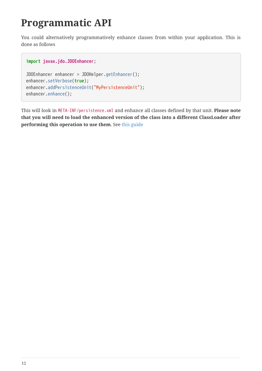### <span id="page-13-0"></span>**Programmatic API**

You could alternatively programmatively enhance classes from within your application. This is done as follows

```
import javax.jdo.JDOEnhancer;
```

```
JDOEnhancer enhancer = JDOHelper.getEnhancer();
enhancer.setVerbose(true);
enhancer.addPersistenceUnit("MyPersistenceUnit");
enhancer.enhance();
```
This will look in META-INF/persistence.xml and enhance all classes defined by that unit. **Please note that you will need to load the enhanced version of the class into a different ClassLoader after performing this operation to use them**. See [this guide](https://github.com/datanucleus/samples-jdo/tree/master/dynamic_api_usage)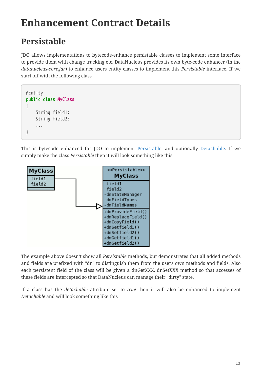# <span id="page-14-0"></span>**Enhancement Contract Details**

### <span id="page-14-1"></span>**Persistable**

JDO allows implementations to bytecode-enhance persistable classes to implement some interface to provide them with change tracking etc. DataNucleus provides its own byte-code enhancer (in the *datanucleus-core.jar*) to enhance users entity classes to implement this *Persistable* interface. If we start off with the following class

```
@Entity
public class MyClass
{
      String field1;
      String field2;
      ...
}
```
This is bytecode enhanced for JDO to implement [Persistable,](http://www.datanucleus.org/javadocs/core/5.0/org/datanucleus/enhancement/Persistable.html) and optionally [Detachable](http://www.datanucleus.org/javadocs/core/5.0/org/datanucleus/enhancement/Detachable.html). If we simply make the class *Persistable* then it will look something like this



The example above doesn't show all *Persistable* methods, but demonstrates that all added methods and fields are prefixed with "dn" to distinguish them from the users own methods and fields. Also each persistent field of the class will be given a dnGetXXX, dnSetXXX method so that accesses of these fields are intercepted so that DataNucleus can manage their "dirty" state.

If a class has the *detachable* attribute set to *true* then it will also be enhanced to implement *Detachable* and will look something like this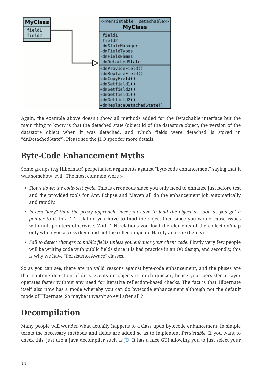

Again, the example above doesn't show all methods added for the Detachable interface but the main thing to know is that the detached state (object id of the datastore object, the version of the datastore object when it was detached, and which fields were detached is stored in "dnDetachedState"). Please see the JDO spec for more details.

#### <span id="page-15-0"></span>**Byte-Code Enhancement Myths**

Some groups (e.g Hibernate) perpetuated arguments against "byte-code enhancement" saying that it was somehow 'evil'. The most common were :-

- *Slows down the code-test cycle*. This is erroneous since you only need to enhance just before test and the provided tools for Ant, Eclipse and Maven all do the enhancement job automatically and rapidly.
- *Is less "lazy" than the proxy approach since you have to load the object as soon as you get a pointer to it*. In a 1-1 relation you **have to load** the object then since you would cause issues with null pointers otherwise. With 1-N relations you load the elements of the collection/map only when you access them and not the collection/map. Hardly an issue then is it!
- *Fail to detect changes to public fields unless you enhance your client code*. Firstly very few people will be writing code with public fields since it is bad practice in an OO design, and secondly, this is why we have "PersistenceAware" classes.

So as you can see, there are no valid reasons against byte-code enhancement, and the pluses are that runtime detection of dirty events on objects is much quicker, hence your persistence layer operates faster without any need for iterative reflection-based checks. The fact is that Hibernate itself also now has a mode whereby you can do bytecode enhancement although not the default mode of Hibernate. So maybe it wasn't so evil after all ?

### <span id="page-15-1"></span>**Decompilation**

Many people will wonder what actually happens to a class upon bytecode enhancement. In simple terms the necessary methods and fields are added so as to implement *Persistable*. If you want to check this, just use a Java decompiler such as [JD](http://jd.benow.ca/). It has a nice GUI allowing you to just select your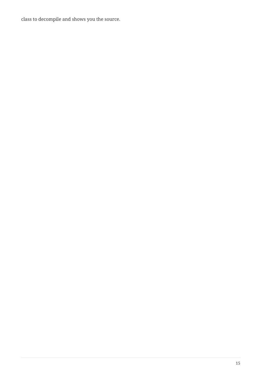class to decompile and shows you the source.